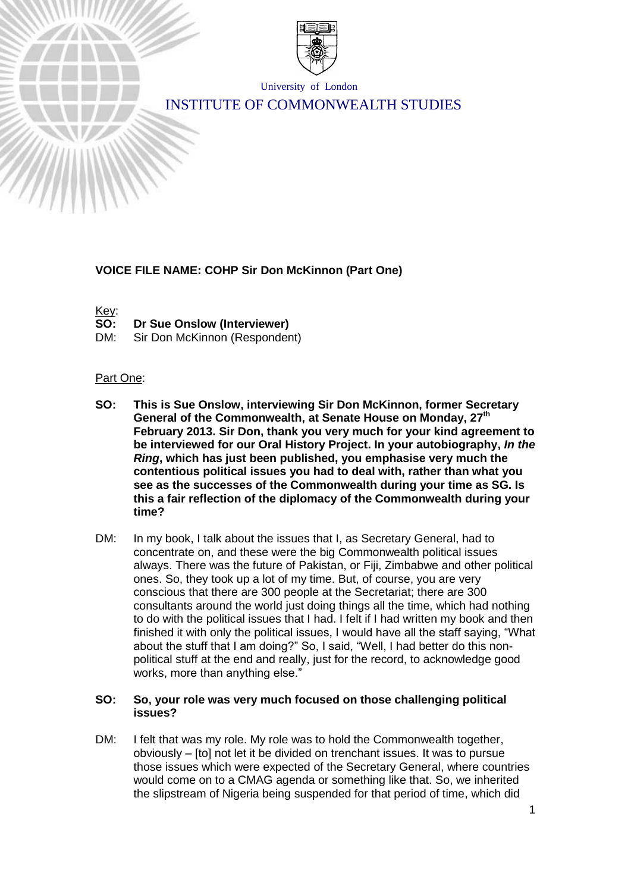

University of London

# INSTITUTE OF COMMONWEALTH STUDIES

## **VOICE FILE NAME: COHP Sir Don McKinnon (Part One)**

Key:

- **SO: Dr Sue Onslow (Interviewer)**
- DM: Sir Don McKinnon (Respondent)

#### Part One:

- **SO: This is Sue Onslow, interviewing Sir Don McKinnon, former Secretary General of the Commonwealth, at Senate House on Monday, 27th February 2013. Sir Don, thank you very much for your kind agreement to be interviewed for our Oral History Project. In your autobiography,** *In the Ring***, which has just been published, you emphasise very much the contentious political issues you had to deal with, rather than what you see as the successes of the Commonwealth during your time as SG. Is this a fair reflection of the diplomacy of the Commonwealth during your time?**
- DM: In my book, I talk about the issues that I, as Secretary General, had to concentrate on, and these were the big Commonwealth political issues always. There was the future of Pakistan, or Fiji, Zimbabwe and other political ones. So, they took up a lot of my time. But, of course, you are very conscious that there are 300 people at the Secretariat; there are 300 consultants around the world just doing things all the time, which had nothing to do with the political issues that I had. I felt if I had written my book and then finished it with only the political issues, I would have all the staff saying, "What about the stuff that I am doing?" So, I said, "Well, I had better do this nonpolitical stuff at the end and really, just for the record, to acknowledge good works, more than anything else."

## **SO: So, your role was very much focused on those challenging political issues?**

DM: I felt that was my role. My role was to hold the Commonwealth together, obviously – [to] not let it be divided on trenchant issues. It was to pursue those issues which were expected of the Secretary General, where countries would come on to a CMAG agenda or something like that. So, we inherited the slipstream of Nigeria being suspended for that period of time, which did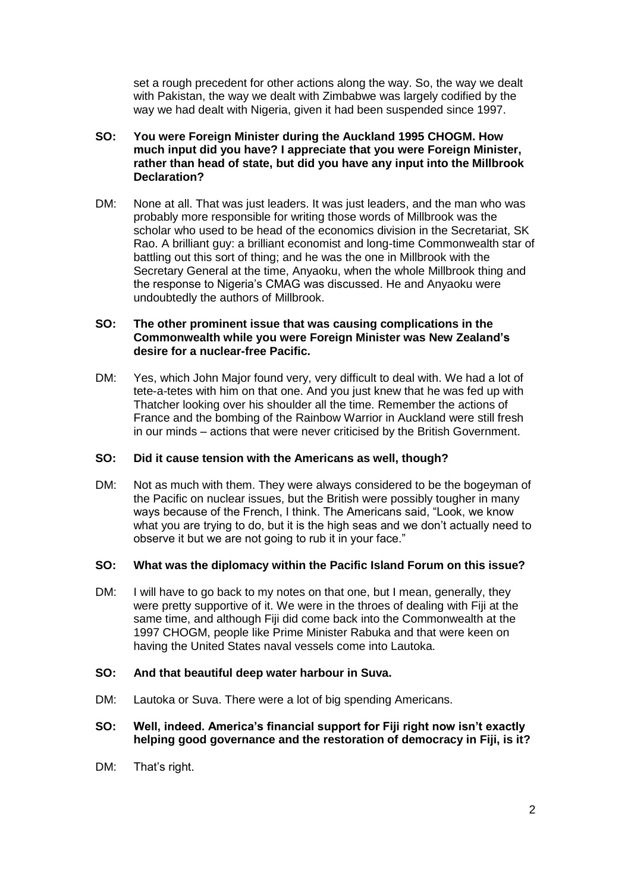set a rough precedent for other actions along the way. So, the way we dealt with Pakistan, the way we dealt with Zimbabwe was largely codified by the way we had dealt with Nigeria, given it had been suspended since 1997.

## **SO: You were Foreign Minister during the Auckland 1995 CHOGM. How much input did you have? I appreciate that you were Foreign Minister, rather than head of state, but did you have any input into the Millbrook Declaration?**

DM: None at all. That was just leaders. It was just leaders, and the man who was probably more responsible for writing those words of Millbrook was the scholar who used to be head of the economics division in the Secretariat, SK Rao. A brilliant guy: a brilliant economist and long-time Commonwealth star of battling out this sort of thing; and he was the one in Millbrook with the Secretary General at the time, Anyaoku, when the whole Millbrook thing and the response to Nigeria's CMAG was discussed. He and Anyaoku were undoubtedly the authors of Millbrook.

## **SO: The other prominent issue that was causing complications in the Commonwealth while you were Foreign Minister was New Zealand's desire for a nuclear-free Pacific.**

DM: Yes, which John Major found very, very difficult to deal with. We had a lot of tete-a-tetes with him on that one. And you just knew that he was fed up with Thatcher looking over his shoulder all the time. Remember the actions of France and the bombing of the Rainbow Warrior in Auckland were still fresh in our minds – actions that were never criticised by the British Government.

# **SO: Did it cause tension with the Americans as well, though?**

DM: Not as much with them. They were always considered to be the bogeyman of the Pacific on nuclear issues, but the British were possibly tougher in many ways because of the French, I think. The Americans said, "Look, we know what you are trying to do, but it is the high seas and we don't actually need to observe it but we are not going to rub it in your face."

#### **SO: What was the diplomacy within the Pacific Island Forum on this issue?**

DM: I will have to go back to my notes on that one, but I mean, generally, they were pretty supportive of it. We were in the throes of dealing with Fiji at the same time, and although Fiji did come back into the Commonwealth at the 1997 CHOGM, people like Prime Minister Rabuka and that were keen on having the United States naval vessels come into Lautoka.

# **SO: And that beautiful deep water harbour in Suva.**

DM: Lautoka or Suva. There were a lot of big spending Americans.

## **SO: Well, indeed. America's financial support for Fiji right now isn't exactly helping good governance and the restoration of democracy in Fiji, is it?**

DM: That's right.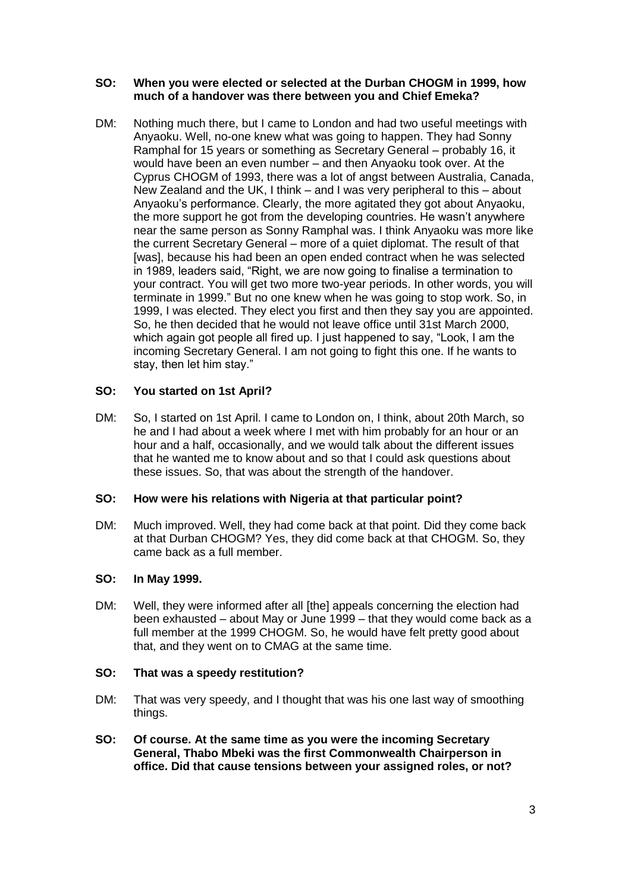## **SO: When you were elected or selected at the Durban CHOGM in 1999, how much of a handover was there between you and Chief Emeka?**

DM: Nothing much there, but I came to London and had two useful meetings with Anyaoku. Well, no-one knew what was going to happen. They had Sonny Ramphal for 15 years or something as Secretary General – probably 16, it would have been an even number – and then Anyaoku took over. At the Cyprus CHOGM of 1993, there was a lot of angst between Australia, Canada, New Zealand and the UK, I think – and I was very peripheral to this – about Anyaoku's performance. Clearly, the more agitated they got about Anyaoku, the more support he got from the developing countries. He wasn't anywhere near the same person as Sonny Ramphal was. I think Anyaoku was more like the current Secretary General – more of a quiet diplomat. The result of that [was], because his had been an open ended contract when he was selected in 1989, leaders said, "Right, we are now going to finalise a termination to your contract. You will get two more two-year periods. In other words, you will terminate in 1999." But no one knew when he was going to stop work. So, in 1999, I was elected. They elect you first and then they say you are appointed. So, he then decided that he would not leave office until 31st March 2000, which again got people all fired up. I just happened to say, "Look, I am the incoming Secretary General. I am not going to fight this one. If he wants to stay, then let him stay."

# **SO: You started on 1st April?**

DM: So, I started on 1st April. I came to London on, I think, about 20th March, so he and I had about a week where I met with him probably for an hour or an hour and a half, occasionally, and we would talk about the different issues that he wanted me to know about and so that I could ask questions about these issues. So, that was about the strength of the handover.

# **SO: How were his relations with Nigeria at that particular point?**

DM: Much improved. Well, they had come back at that point. Did they come back at that Durban CHOGM? Yes, they did come back at that CHOGM. So, they came back as a full member.

# **SO: In May 1999.**

DM: Well, they were informed after all [the] appeals concerning the election had been exhausted – about May or June 1999 – that they would come back as a full member at the 1999 CHOGM. So, he would have felt pretty good about that, and they went on to CMAG at the same time.

# **SO: That was a speedy restitution?**

- DM: That was very speedy, and I thought that was his one last way of smoothing things.
- **SO: Of course. At the same time as you were the incoming Secretary General, Thabo Mbeki was the first Commonwealth Chairperson in office. Did that cause tensions between your assigned roles, or not?**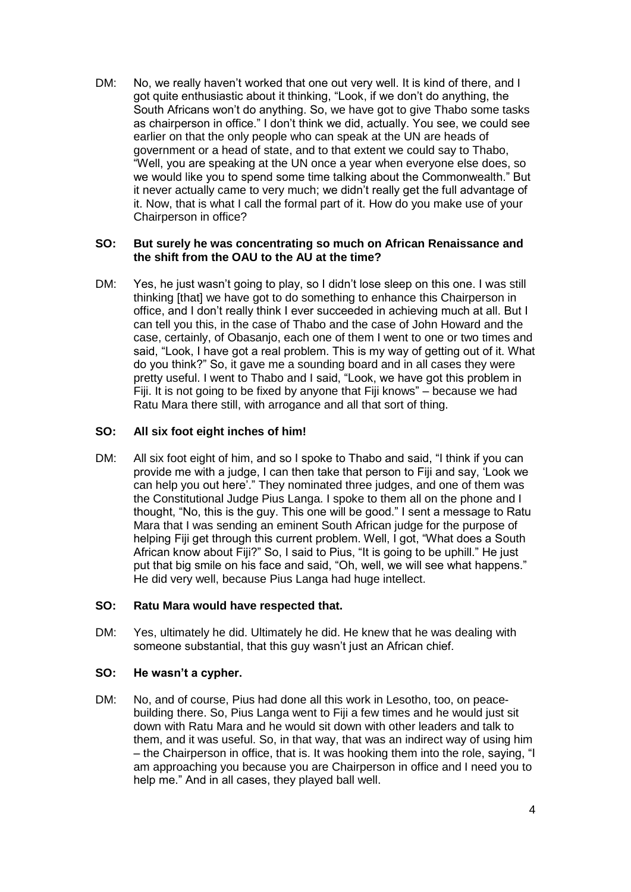DM: No, we really haven't worked that one out very well. It is kind of there, and I got quite enthusiastic about it thinking, "Look, if we don't do anything, the South Africans won't do anything. So, we have got to give Thabo some tasks as chairperson in office." I don't think we did, actually. You see, we could see earlier on that the only people who can speak at the UN are heads of government or a head of state, and to that extent we could say to Thabo, "Well, you are speaking at the UN once a year when everyone else does, so we would like you to spend some time talking about the Commonwealth." But it never actually came to very much; we didn't really get the full advantage of it. Now, that is what I call the formal part of it. How do you make use of your Chairperson in office?

#### **SO: But surely he was concentrating so much on African Renaissance and the shift from the OAU to the AU at the time?**

DM: Yes, he just wasn't going to play, so I didn't lose sleep on this one. I was still thinking [that] we have got to do something to enhance this Chairperson in office, and I don't really think I ever succeeded in achieving much at all. But I can tell you this, in the case of Thabo and the case of John Howard and the case, certainly, of Obasanjo, each one of them I went to one or two times and said, "Look, I have got a real problem. This is my way of getting out of it. What do you think?" So, it gave me a sounding board and in all cases they were pretty useful. I went to Thabo and I said, "Look, we have got this problem in Fiji. It is not going to be fixed by anyone that Fiji knows" – because we had Ratu Mara there still, with arrogance and all that sort of thing.

# **SO: All six foot eight inches of him!**

DM: All six foot eight of him, and so I spoke to Thabo and said, "I think if you can provide me with a judge, I can then take that person to Fiji and say, 'Look we can help you out here'." They nominated three judges, and one of them was the Constitutional Judge Pius Langa. I spoke to them all on the phone and I thought, "No, this is the guy. This one will be good." I sent a message to Ratu Mara that I was sending an eminent South African judge for the purpose of helping Fiji get through this current problem. Well, I got, "What does a South African know about Fiji?" So, I said to Pius, "It is going to be uphill." He just put that big smile on his face and said, "Oh, well, we will see what happens." He did very well, because Pius Langa had huge intellect.

# **SO: Ratu Mara would have respected that.**

DM: Yes, ultimately he did. Ultimately he did. He knew that he was dealing with someone substantial, that this guy wasn't just an African chief.

# **SO: He wasn't a cypher.**

DM: No, and of course, Pius had done all this work in Lesotho, too, on peacebuilding there. So, Pius Langa went to Fiji a few times and he would just sit down with Ratu Mara and he would sit down with other leaders and talk to them, and it was useful. So, in that way, that was an indirect way of using him – the Chairperson in office, that is. It was hooking them into the role, saying, "I am approaching you because you are Chairperson in office and I need you to help me." And in all cases, they played ball well.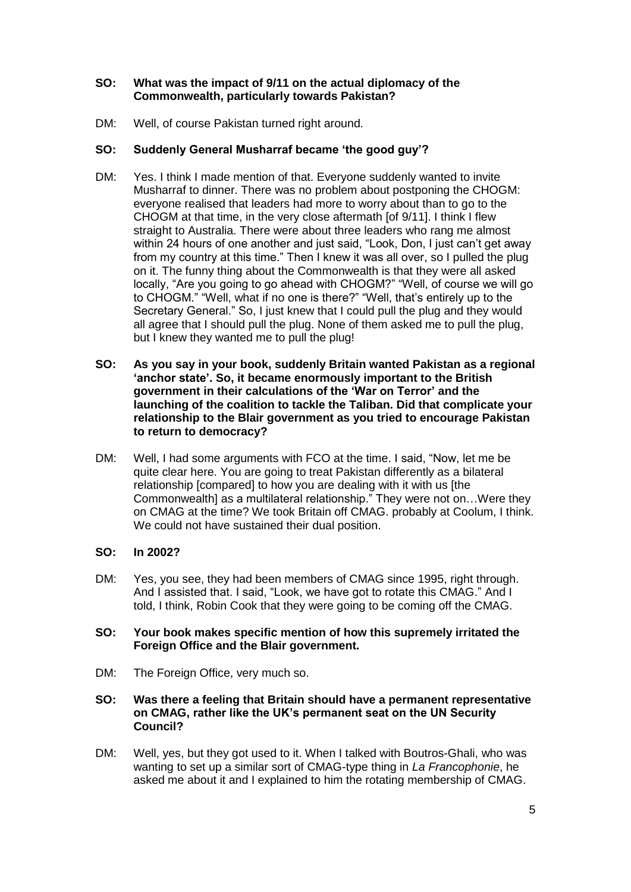# **SO: What was the impact of 9/11 on the actual diplomacy of the Commonwealth, particularly towards Pakistan?**

DM: Well, of course Pakistan turned right around.

# **SO: Suddenly General Musharraf became 'the good guy'?**

- DM: Yes. I think I made mention of that. Everyone suddenly wanted to invite Musharraf to dinner. There was no problem about postponing the CHOGM: everyone realised that leaders had more to worry about than to go to the CHOGM at that time, in the very close aftermath [of 9/11]. I think I flew straight to Australia. There were about three leaders who rang me almost within 24 hours of one another and just said, "Look, Don, I just can't get away from my country at this time." Then I knew it was all over, so I pulled the plug on it. The funny thing about the Commonwealth is that they were all asked locally, "Are you going to go ahead with CHOGM?" "Well, of course we will go to CHOGM." "Well, what if no one is there?" "Well, that's entirely up to the Secretary General." So, I just knew that I could pull the plug and they would all agree that I should pull the plug. None of them asked me to pull the plug, but I knew they wanted me to pull the plug!
- **SO: As you say in your book, suddenly Britain wanted Pakistan as a regional 'anchor state'. So, it became enormously important to the British government in their calculations of the 'War on Terror' and the launching of the coalition to tackle the Taliban. Did that complicate your relationship to the Blair government as you tried to encourage Pakistan to return to democracy?**
- DM: Well, I had some arguments with FCO at the time. I said, "Now, let me be quite clear here. You are going to treat Pakistan differently as a bilateral relationship [compared] to how you are dealing with it with us [the Commonwealth] as a multilateral relationship." They were not on…Were they on CMAG at the time? We took Britain off CMAG. probably at Coolum, I think. We could not have sustained their dual position.

# **SO: In 2002?**

DM: Yes, you see, they had been members of CMAG since 1995, right through. And I assisted that. I said, "Look, we have got to rotate this CMAG." And I told, I think, Robin Cook that they were going to be coming off the CMAG.

## **SO: Your book makes specific mention of how this supremely irritated the Foreign Office and the Blair government.**

DM: The Foreign Office, very much so.

#### **SO: Was there a feeling that Britain should have a permanent representative on CMAG, rather like the UK's permanent seat on the UN Security Council?**

DM: Well, yes, but they got used to it. When I talked with Boutros-Ghali, who was wanting to set up a similar sort of CMAG-type thing in *La Francophonie*, he asked me about it and I explained to him the rotating membership of CMAG.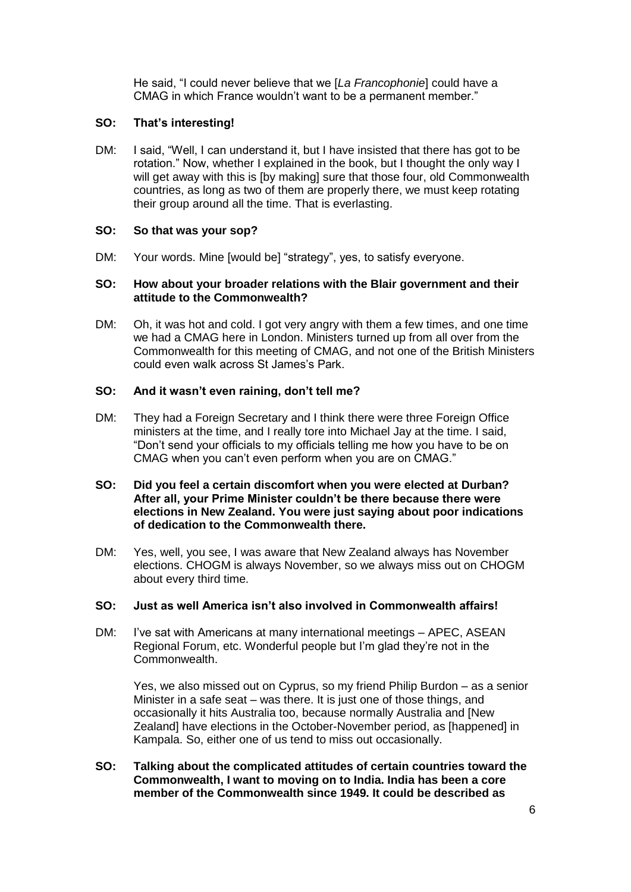He said, "I could never believe that we [*La Francophonie*] could have a CMAG in which France wouldn't want to be a permanent member."

# **SO: That's interesting!**

DM: I said, "Well, I can understand it, but I have insisted that there has got to be rotation." Now, whether I explained in the book, but I thought the only way I will get away with this is [by making] sure that those four, old Commonwealth countries, as long as two of them are properly there, we must keep rotating their group around all the time. That is everlasting.

# **SO: So that was your sop?**

DM: Your words. Mine [would be] "strategy", yes, to satisfy everyone.

## **SO: How about your broader relations with the Blair government and their attitude to the Commonwealth?**

DM: Oh, it was hot and cold. I got very angry with them a few times, and one time we had a CMAG here in London. Ministers turned up from all over from the Commonwealth for this meeting of CMAG, and not one of the British Ministers could even walk across St James's Park.

## **SO: And it wasn't even raining, don't tell me?**

DM: They had a Foreign Secretary and I think there were three Foreign Office ministers at the time, and I really tore into Michael Jay at the time. I said, "Don't send your officials to my officials telling me how you have to be on CMAG when you can't even perform when you are on CMAG."

#### **SO: Did you feel a certain discomfort when you were elected at Durban? After all, your Prime Minister couldn't be there because there were elections in New Zealand. You were just saying about poor indications of dedication to the Commonwealth there.**

DM: Yes, well, you see, I was aware that New Zealand always has November elections. CHOGM is always November, so we always miss out on CHOGM about every third time.

#### **SO: Just as well America isn't also involved in Commonwealth affairs!**

DM: I've sat with Americans at many international meetings – APEC, ASEAN Regional Forum, etc. Wonderful people but I'm glad they're not in the Commonwealth.

Yes, we also missed out on Cyprus, so my friend Philip Burdon – as a senior Minister in a safe seat – was there. It is just one of those things, and occasionally it hits Australia too, because normally Australia and [New Zealand] have elections in the October-November period, as [happened] in Kampala. So, either one of us tend to miss out occasionally.

**SO: Talking about the complicated attitudes of certain countries toward the Commonwealth, I want to moving on to India. India has been a core member of the Commonwealth since 1949. It could be described as**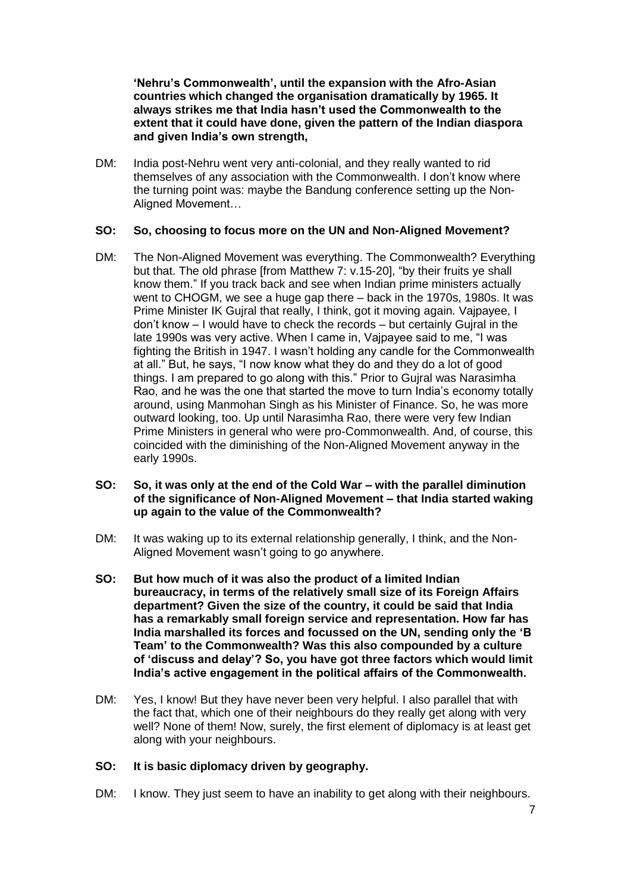**'Nehru's Commonwealth', until the expansion with the Afro-Asian countries which changed the organisation dramatically by 1965. It always strikes me that India hasn't used the Commonwealth to the extent that it could have done, given the pattern of the Indian diaspora and given India's own strength,**

DM: India post-Nehru went very anti-colonial, and they really wanted to rid themselves of any association with the Commonwealth. I don't know where the turning point was: maybe the Bandung conference setting up the Non-Aligned Movement…

## **SO: So, choosing to focus more on the UN and Non-Aligned Movement?**

DM: The Non-Aligned Movement was everything. The Commonwealth? Everything but that. The old phrase [from Matthew 7: v.15-20], "by their fruits ye shall know them." If you track back and see when Indian prime ministers actually went to CHOGM, we see a huge gap there – back in the 1970s, 1980s. It was Prime Minister IK Gujral that really, I think, got it moving again. Vajpayee, I don't know – I would have to check the records – but certainly Gujral in the late 1990s was very active. When I came in, Vajpayee said to me, "I was fighting the British in 1947. I wasn't holding any candle for the Commonwealth at all." But, he says, "I now know what they do and they do a lot of good things. I am prepared to go along with this." Prior to Gujral was Narasimha Rao, and he was the one that started the move to turn India's economy totally around, using Manmohan Singh as his Minister of Finance. So, he was more outward looking, too. Up until Narasimha Rao, there were very few Indian Prime Ministers in general who were pro-Commonwealth. And, of course, this coincided with the diminishing of the Non-Aligned Movement anyway in the early 1990s.

#### **SO: So, it was only at the end of the Cold War – with the parallel diminution of the significance of Non-Aligned Movement – that India started waking up again to the value of the Commonwealth?**

- DM: It was waking up to its external relationship generally, I think, and the Non-Aligned Movement wasn't going to go anywhere.
- **SO: But how much of it was also the product of a limited Indian bureaucracy, in terms of the relatively small size of its Foreign Affairs department? Given the size of the country, it could be said that India has a remarkably small foreign service and representation. How far has India marshalled its forces and focussed on the UN, sending only the 'B Team' to the Commonwealth? Was this also compounded by a culture of 'discuss and delay'? So, you have got three factors which would limit India's active engagement in the political affairs of the Commonwealth.**
- DM: Yes, I know! But they have never been very helpful. I also parallel that with the fact that, which one of their neighbours do they really get along with very well? None of them! Now, surely, the first element of diplomacy is at least get along with your neighbours.

#### **SO: It is basic diplomacy driven by geography.**

DM: I know. They just seem to have an inability to get along with their neighbours.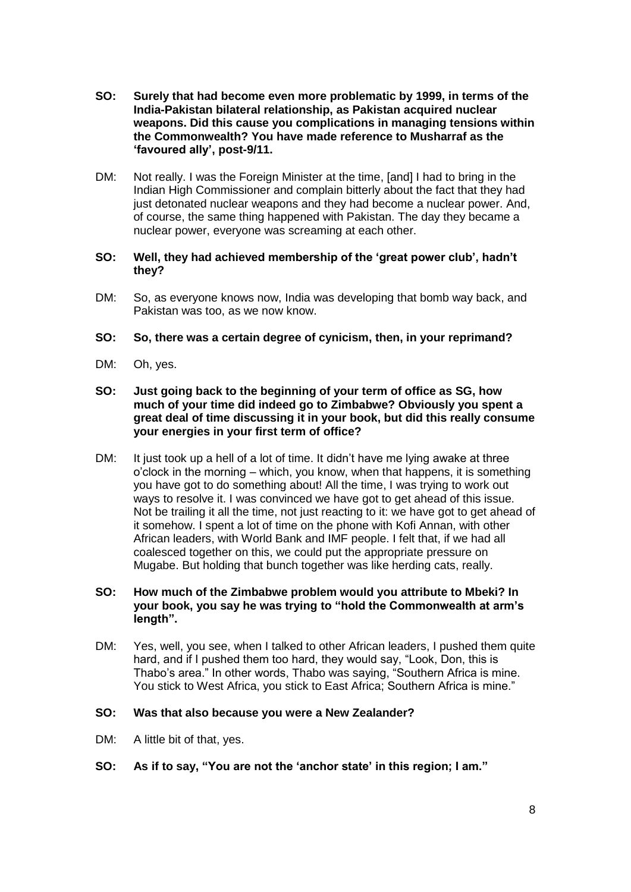- **SO: Surely that had become even more problematic by 1999, in terms of the India-Pakistan bilateral relationship, as Pakistan acquired nuclear weapons. Did this cause you complications in managing tensions within the Commonwealth? You have made reference to Musharraf as the 'favoured ally', post-9/11.**
- DM: Not really. I was the Foreign Minister at the time, [and] I had to bring in the Indian High Commissioner and complain bitterly about the fact that they had just detonated nuclear weapons and they had become a nuclear power. And, of course, the same thing happened with Pakistan. The day they became a nuclear power, everyone was screaming at each other.

## **SO: Well, they had achieved membership of the 'great power club', hadn't they?**

DM: So, as everyone knows now, India was developing that bomb way back, and Pakistan was too, as we now know.

## **SO: So, there was a certain degree of cynicism, then, in your reprimand?**

- DM: Oh, yes.
- **SO: Just going back to the beginning of your term of office as SG, how much of your time did indeed go to Zimbabwe? Obviously you spent a great deal of time discussing it in your book, but did this really consume your energies in your first term of office?**
- DM: It just took up a hell of a lot of time. It didn't have me lying awake at three o'clock in the morning – which, you know, when that happens, it is something you have got to do something about! All the time, I was trying to work out ways to resolve it. I was convinced we have got to get ahead of this issue. Not be trailing it all the time, not just reacting to it: we have got to get ahead of it somehow. I spent a lot of time on the phone with Kofi Annan, with other African leaders, with World Bank and IMF people. I felt that, if we had all coalesced together on this, we could put the appropriate pressure on Mugabe. But holding that bunch together was like herding cats, really.

#### **SO: How much of the Zimbabwe problem would you attribute to Mbeki? In your book, you say he was trying to "hold the Commonwealth at arm's length".**

DM: Yes, well, you see, when I talked to other African leaders, I pushed them quite hard, and if I pushed them too hard, they would say, "Look, Don, this is Thabo's area." In other words, Thabo was saying, "Southern Africa is mine. You stick to West Africa, you stick to East Africa; Southern Africa is mine."

#### **SO: Was that also because you were a New Zealander?**

- DM: A little bit of that, yes.
- **SO: As if to say, "You are not the 'anchor state' in this region; I am."**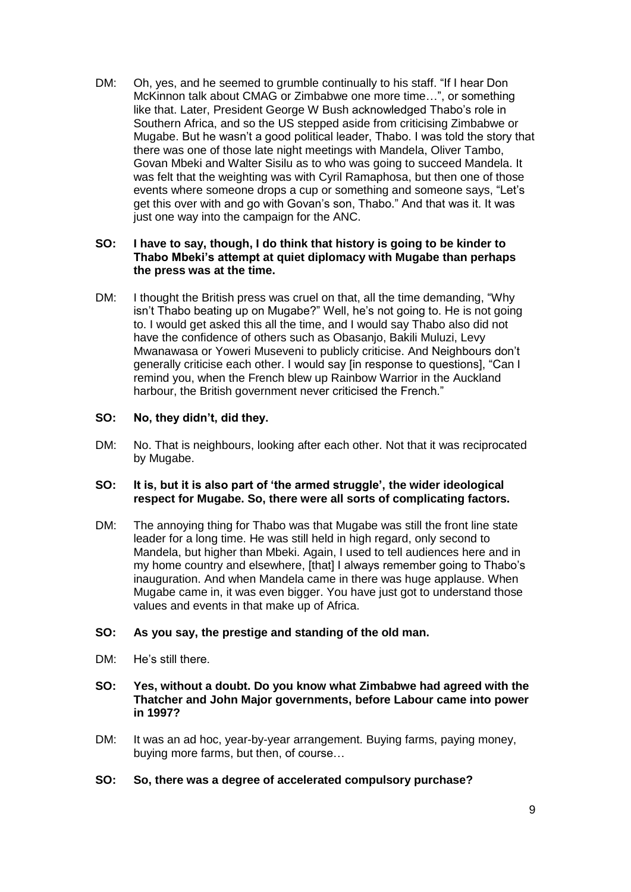DM: Oh, yes, and he seemed to grumble continually to his staff. "If I hear Don McKinnon talk about CMAG or Zimbabwe one more time…", or something like that. Later, President George W Bush acknowledged Thabo's role in Southern Africa, and so the US stepped aside from criticising Zimbabwe or Mugabe. But he wasn't a good political leader, Thabo. I was told the story that there was one of those late night meetings with Mandela, Oliver Tambo, Govan Mbeki and Walter Sisilu as to who was going to succeed Mandela. It was felt that the weighting was with Cyril Ramaphosa, but then one of those events where someone drops a cup or something and someone says, "Let's get this over with and go with Govan's son, Thabo." And that was it. It was just one way into the campaign for the ANC.

## **SO: I have to say, though, I do think that history is going to be kinder to Thabo Mbeki's attempt at quiet diplomacy with Mugabe than perhaps the press was at the time.**

DM: I thought the British press was cruel on that, all the time demanding, "Why isn't Thabo beating up on Mugabe?" Well, he's not going to. He is not going to. I would get asked this all the time, and I would say Thabo also did not have the confidence of others such as Obasanjo, Bakili Muluzi, Levy Mwanawasa or Yoweri Museveni to publicly criticise. And Neighbours don't generally criticise each other. I would say [in response to questions], "Can I remind you, when the French blew up Rainbow Warrior in the Auckland harbour, the British government never criticised the French."

## **SO: No, they didn't, did they.**

DM: No. That is neighbours, looking after each other. Not that it was reciprocated by Mugabe.

## **SO: It is, but it is also part of 'the armed struggle', the wider ideological respect for Mugabe. So, there were all sorts of complicating factors.**

DM: The annoying thing for Thabo was that Mugabe was still the front line state leader for a long time. He was still held in high regard, only second to Mandela, but higher than Mbeki. Again, I used to tell audiences here and in my home country and elsewhere, [that] I always remember going to Thabo's inauguration. And when Mandela came in there was huge applause. When Mugabe came in, it was even bigger. You have just got to understand those values and events in that make up of Africa.

# **SO: As you say, the prestige and standing of the old man.**

- DM: He's still there.
- **SO: Yes, without a doubt. Do you know what Zimbabwe had agreed with the Thatcher and John Major governments, before Labour came into power in 1997?**
- DM: It was an ad hoc, year-by-year arrangement. Buying farms, paying money, buying more farms, but then, of course…
- **SO: So, there was a degree of accelerated compulsory purchase?**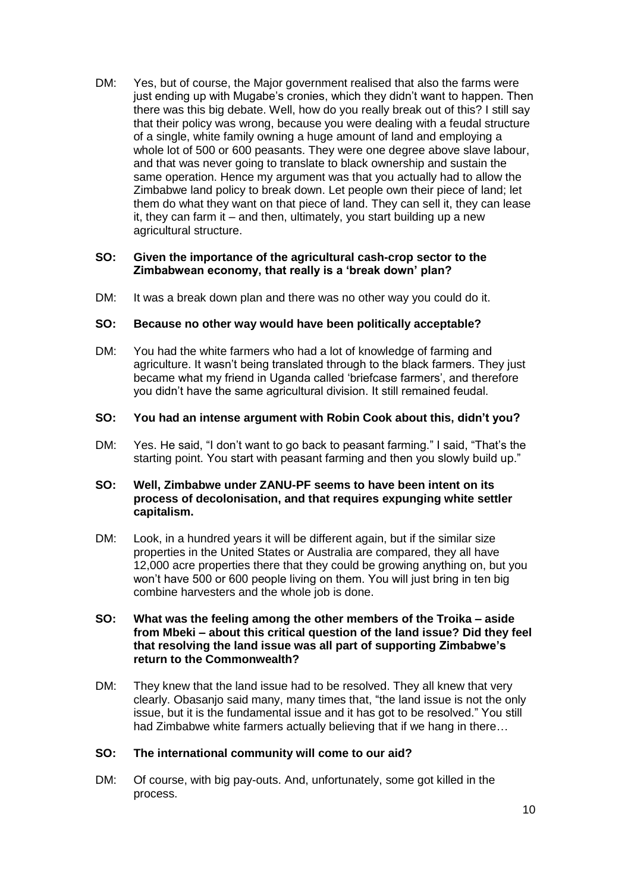DM: Yes, but of course, the Major government realised that also the farms were just ending up with Mugabe's cronies, which they didn't want to happen. Then there was this big debate. Well, how do you really break out of this? I still say that their policy was wrong, because you were dealing with a feudal structure of a single, white family owning a huge amount of land and employing a whole lot of 500 or 600 peasants. They were one degree above slave labour, and that was never going to translate to black ownership and sustain the same operation. Hence my argument was that you actually had to allow the Zimbabwe land policy to break down. Let people own their piece of land; let them do what they want on that piece of land. They can sell it, they can lease it, they can farm it – and then, ultimately, you start building up a new agricultural structure.

#### **SO: Given the importance of the agricultural cash-crop sector to the Zimbabwean economy, that really is a 'break down' plan?**

DM: It was a break down plan and there was no other way you could do it.

## **SO: Because no other way would have been politically acceptable?**

DM: You had the white farmers who had a lot of knowledge of farming and agriculture. It wasn't being translated through to the black farmers. They just became what my friend in Uganda called 'briefcase farmers', and therefore you didn't have the same agricultural division. It still remained feudal.

#### **SO: You had an intense argument with Robin Cook about this, didn't you?**

DM: Yes. He said, "I don't want to go back to peasant farming." I said, "That's the starting point. You start with peasant farming and then you slowly build up."

#### **SO: Well, Zimbabwe under ZANU-PF seems to have been intent on its process of decolonisation, and that requires expunging white settler capitalism.**

DM: Look, in a hundred years it will be different again, but if the similar size properties in the United States or Australia are compared, they all have 12,000 acre properties there that they could be growing anything on, but you won't have 500 or 600 people living on them. You will just bring in ten big combine harvesters and the whole job is done.

#### **SO: What was the feeling among the other members of the Troika – aside from Mbeki – about this critical question of the land issue? Did they feel that resolving the land issue was all part of supporting Zimbabwe's return to the Commonwealth?**

DM: They knew that the land issue had to be resolved. They all knew that very clearly. Obasanjo said many, many times that, "the land issue is not the only issue, but it is the fundamental issue and it has got to be resolved." You still had Zimbabwe white farmers actually believing that if we hang in there…

#### **SO: The international community will come to our aid?**

DM: Of course, with big pay-outs. And, unfortunately, some got killed in the process.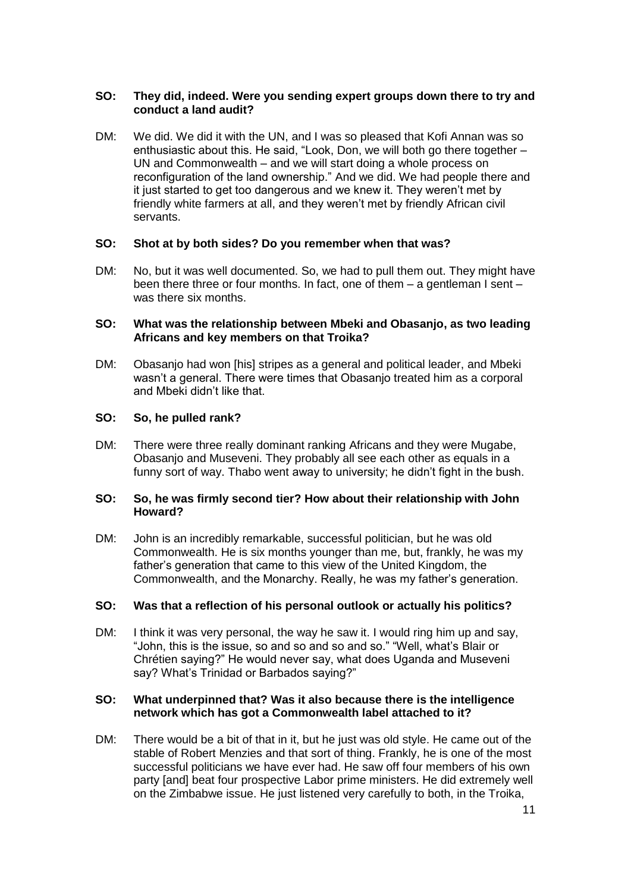# **SO: They did, indeed. Were you sending expert groups down there to try and conduct a land audit?**

DM: We did. We did it with the UN, and I was so pleased that Kofi Annan was so enthusiastic about this. He said, "Look, Don, we will both go there together – UN and Commonwealth – and we will start doing a whole process on reconfiguration of the land ownership." And we did. We had people there and it just started to get too dangerous and we knew it. They weren't met by friendly white farmers at all, and they weren't met by friendly African civil servants.

# **SO: Shot at by both sides? Do you remember when that was?**

DM: No, but it was well documented. So, we had to pull them out. They might have been there three or four months. In fact, one of them – a gentleman I sent – was there six months.

## **SO: What was the relationship between Mbeki and Obasanjo, as two leading Africans and key members on that Troika?**

DM: Obasanjo had won [his] stripes as a general and political leader, and Mbeki wasn't a general. There were times that Obasanjo treated him as a corporal and Mbeki didn't like that.

## **SO: So, he pulled rank?**

DM: There were three really dominant ranking Africans and they were Mugabe, Obasanjo and Museveni. They probably all see each other as equals in a funny sort of way. Thabo went away to university; he didn't fight in the bush.

#### **SO: So, he was firmly second tier? How about their relationship with John Howard?**

DM: John is an incredibly remarkable, successful politician, but he was old Commonwealth. He is six months younger than me, but, frankly, he was my father's generation that came to this view of the United Kingdom, the Commonwealth, and the Monarchy. Really, he was my father's generation.

#### **SO: Was that a reflection of his personal outlook or actually his politics?**

DM: I think it was very personal, the way he saw it. I would ring him up and say, "John, this is the issue, so and so and so and so." "Well, what's Blair or Chrétien saying?" He would never say, what does Uganda and Museveni say? What's Trinidad or Barbados saying?"

## **SO: What underpinned that? Was it also because there is the intelligence network which has got a Commonwealth label attached to it?**

DM: There would be a bit of that in it, but he just was old style. He came out of the stable of Robert Menzies and that sort of thing. Frankly, he is one of the most successful politicians we have ever had. He saw off four members of his own party [and] beat four prospective Labor prime ministers. He did extremely well on the Zimbabwe issue. He just listened very carefully to both, in the Troika,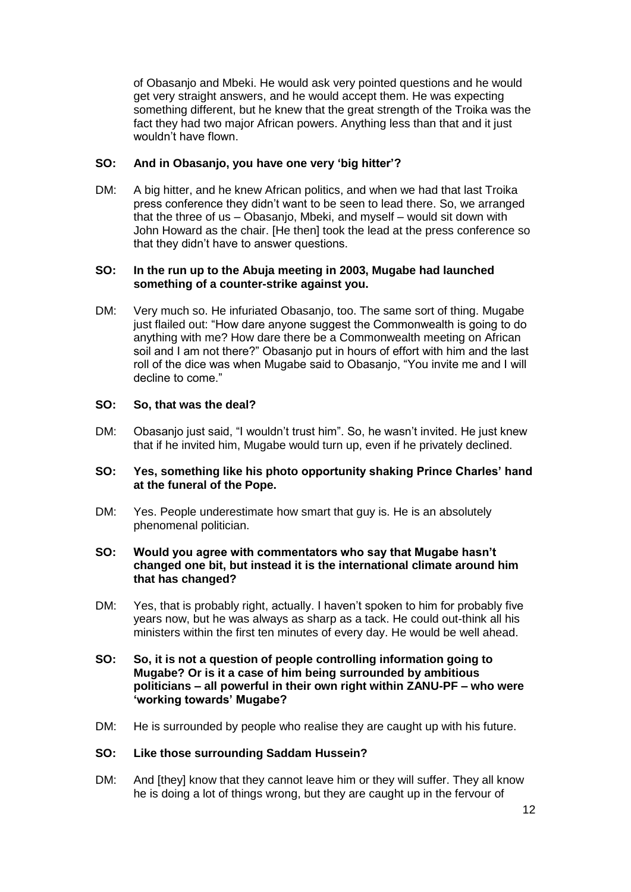of Obasanjo and Mbeki. He would ask very pointed questions and he would get very straight answers, and he would accept them. He was expecting something different, but he knew that the great strength of the Troika was the fact they had two major African powers. Anything less than that and it just wouldn't have flown.

## **SO: And in Obasanjo, you have one very 'big hitter'?**

DM: A big hitter, and he knew African politics, and when we had that last Troika press conference they didn't want to be seen to lead there. So, we arranged that the three of us – Obasanjo, Mbeki, and myself – would sit down with John Howard as the chair. [He then] took the lead at the press conference so that they didn't have to answer questions.

#### **SO: In the run up to the Abuja meeting in 2003, Mugabe had launched something of a counter-strike against you.**

DM: Very much so. He infuriated Obasanjo, too. The same sort of thing. Mugabe just flailed out: "How dare anyone suggest the Commonwealth is going to do anything with me? How dare there be a Commonwealth meeting on African soil and I am not there?" Obasanjo put in hours of effort with him and the last roll of the dice was when Mugabe said to Obasanjo, "You invite me and I will decline to come."

## **SO: So, that was the deal?**

DM: Obasanjo just said, "I wouldn't trust him". So, he wasn't invited. He just knew that if he invited him, Mugabe would turn up, even if he privately declined.

## **SO: Yes, something like his photo opportunity shaking Prince Charles' hand at the funeral of the Pope.**

DM: Yes. People underestimate how smart that guy is. He is an absolutely phenomenal politician.

## **SO: Would you agree with commentators who say that Mugabe hasn't changed one bit, but instead it is the international climate around him that has changed?**

DM: Yes, that is probably right, actually. I haven't spoken to him for probably five years now, but he was always as sharp as a tack. He could out-think all his ministers within the first ten minutes of every day. He would be well ahead.

## **SO: So, it is not a question of people controlling information going to Mugabe? Or is it a case of him being surrounded by ambitious politicians – all powerful in their own right within ZANU-PF – who were 'working towards' Mugabe?**

DM: He is surrounded by people who realise they are caught up with his future.

### **SO: Like those surrounding Saddam Hussein?**

DM: And [they] know that they cannot leave him or they will suffer. They all know he is doing a lot of things wrong, but they are caught up in the fervour of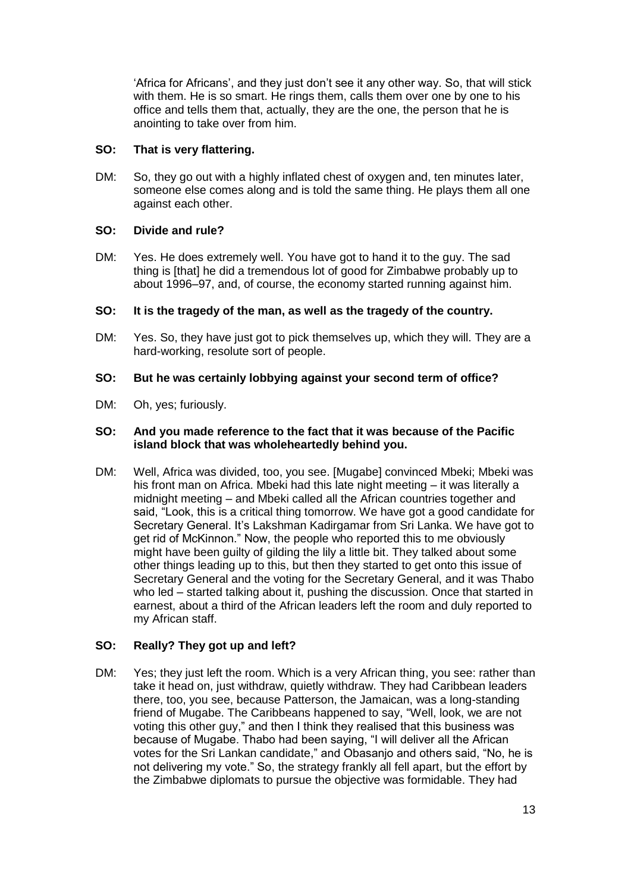'Africa for Africans', and they just don't see it any other way. So, that will stick with them. He is so smart. He rings them, calls them over one by one to his office and tells them that, actually, they are the one, the person that he is anointing to take over from him.

# **SO: That is very flattering.**

DM: So, they go out with a highly inflated chest of oxygen and, ten minutes later, someone else comes along and is told the same thing. He plays them all one against each other.

# **SO: Divide and rule?**

DM: Yes. He does extremely well. You have got to hand it to the guy. The sad thing is [that] he did a tremendous lot of good for Zimbabwe probably up to about 1996–97, and, of course, the economy started running against him.

# **SO: It is the tragedy of the man, as well as the tragedy of the country.**

DM: Yes. So, they have just got to pick themselves up, which they will. They are a hard-working, resolute sort of people.

# **SO: But he was certainly lobbying against your second term of office?**

DM: Oh, yes; furiously.

# **SO: And you made reference to the fact that it was because of the Pacific island block that was wholeheartedly behind you.**

DM: Well, Africa was divided, too, you see. [Mugabe] convinced Mbeki; Mbeki was his front man on Africa. Mbeki had this late night meeting – it was literally a midnight meeting – and Mbeki called all the African countries together and said, "Look, this is a critical thing tomorrow. We have got a good candidate for Secretary General. It's Lakshman Kadirgamar from Sri Lanka. We have got to get rid of McKinnon." Now, the people who reported this to me obviously might have been guilty of gilding the lily a little bit. They talked about some other things leading up to this, but then they started to get onto this issue of Secretary General and the voting for the Secretary General, and it was Thabo who led – started talking about it, pushing the discussion. Once that started in earnest, about a third of the African leaders left the room and duly reported to my African staff.

# **SO: Really? They got up and left?**

DM: Yes; they just left the room. Which is a very African thing, you see: rather than take it head on, just withdraw, quietly withdraw. They had Caribbean leaders there, too, you see, because Patterson, the Jamaican, was a long-standing friend of Mugabe. The Caribbeans happened to say, "Well, look, we are not voting this other guy," and then I think they realised that this business was because of Mugabe. Thabo had been saying, "I will deliver all the African votes for the Sri Lankan candidate," and Obasanjo and others said, "No, he is not delivering my vote." So, the strategy frankly all fell apart, but the effort by the Zimbabwe diplomats to pursue the objective was formidable. They had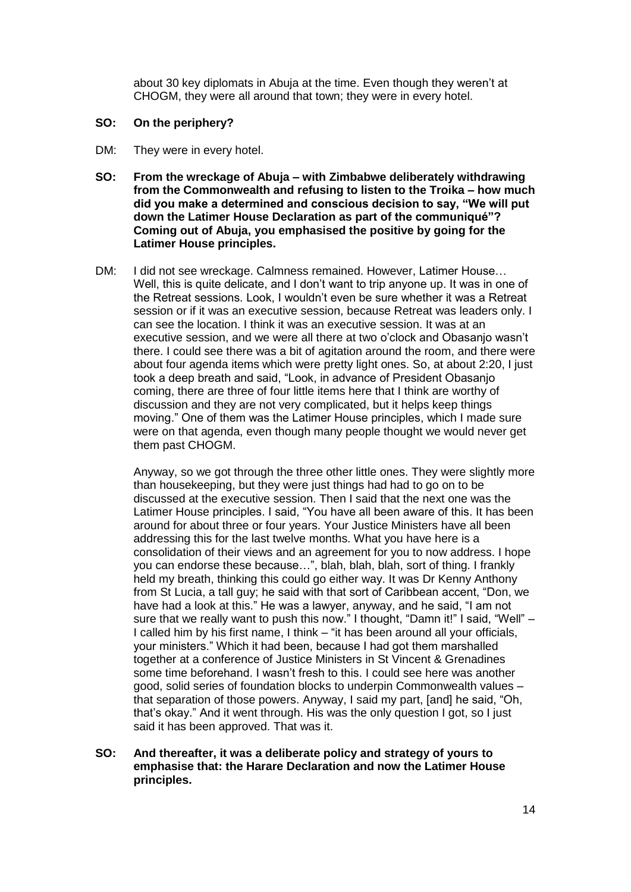about 30 key diplomats in Abuja at the time. Even though they weren't at CHOGM, they were all around that town; they were in every hotel.

- **SO: On the periphery?**
- DM: They were in every hotel.
- **SO: From the wreckage of Abuja – with Zimbabwe deliberately withdrawing from the Commonwealth and refusing to listen to the Troika – how much did you make a determined and conscious decision to say, "We will put down the Latimer House Declaration as part of the communiqué"? Coming out of Abuja, you emphasised the positive by going for the Latimer House principles.**
- DM: I did not see wreckage. Calmness remained. However, Latimer House… Well, this is quite delicate, and I don't want to trip anyone up. It was in one of the Retreat sessions. Look, I wouldn't even be sure whether it was a Retreat session or if it was an executive session, because Retreat was leaders only. I can see the location. I think it was an executive session. It was at an executive session, and we were all there at two o'clock and Obasanjo wasn't there. I could see there was a bit of agitation around the room, and there were about four agenda items which were pretty light ones. So, at about 2:20, I just took a deep breath and said, "Look, in advance of President Obasanjo coming, there are three of four little items here that I think are worthy of discussion and they are not very complicated, but it helps keep things moving." One of them was the Latimer House principles, which I made sure were on that agenda, even though many people thought we would never get them past CHOGM.

Anyway, so we got through the three other little ones. They were slightly more than housekeeping, but they were just things had had to go on to be discussed at the executive session. Then I said that the next one was the Latimer House principles. I said, "You have all been aware of this. It has been around for about three or four years. Your Justice Ministers have all been addressing this for the last twelve months. What you have here is a consolidation of their views and an agreement for you to now address. I hope you can endorse these because…", blah, blah, blah, sort of thing. I frankly held my breath, thinking this could go either way. It was Dr Kenny Anthony from St Lucia, a tall guy; he said with that sort of Caribbean accent, "Don, we have had a look at this." He was a lawyer, anyway, and he said, "I am not sure that we really want to push this now." I thought, "Damn it!" I said, "Well" – I called him by his first name, I think – "it has been around all your officials, your ministers." Which it had been, because I had got them marshalled together at a conference of Justice Ministers in St Vincent & Grenadines some time beforehand. I wasn't fresh to this. I could see here was another good, solid series of foundation blocks to underpin Commonwealth values – that separation of those powers. Anyway, I said my part, [and] he said, "Oh, that's okay." And it went through. His was the only question I got, so I just said it has been approved. That was it.

**SO: And thereafter, it was a deliberate policy and strategy of yours to emphasise that: the Harare Declaration and now the Latimer House principles.**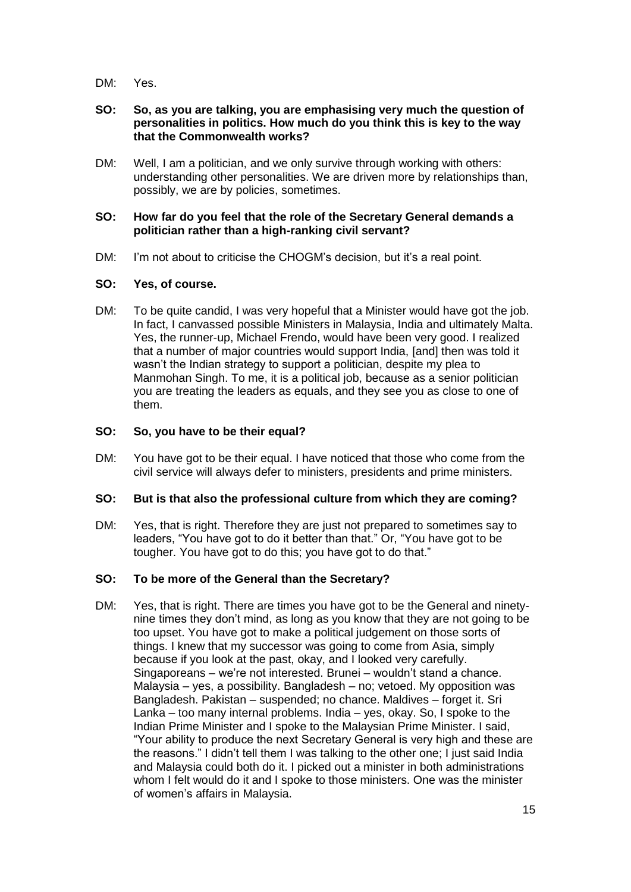DM: Yes.

## **SO: So, as you are talking, you are emphasising very much the question of personalities in politics. How much do you think this is key to the way that the Commonwealth works?**

DM: Well, I am a politician, and we only survive through working with others: understanding other personalities. We are driven more by relationships than, possibly, we are by policies, sometimes.

## **SO: How far do you feel that the role of the Secretary General demands a politician rather than a high-ranking civil servant?**

DM: I'm not about to criticise the CHOGM's decision, but it's a real point.

# **SO: Yes, of course.**

DM: To be quite candid, I was very hopeful that a Minister would have got the job. In fact, I canvassed possible Ministers in Malaysia, India and ultimately Malta. Yes, the runner-up, Michael Frendo, would have been very good. I realized that a number of major countries would support India, [and] then was told it wasn't the Indian strategy to support a politician, despite my plea to Manmohan Singh. To me, it is a political job, because as a senior politician you are treating the leaders as equals, and they see you as close to one of them.

# **SO: So, you have to be their equal?**

DM: You have got to be their equal. I have noticed that those who come from the civil service will always defer to ministers, presidents and prime ministers.

# **SO: But is that also the professional culture from which they are coming?**

DM: Yes, that is right. Therefore they are just not prepared to sometimes say to leaders, "You have got to do it better than that." Or, "You have got to be tougher. You have got to do this; you have got to do that."

# **SO: To be more of the General than the Secretary?**

DM: Yes, that is right. There are times you have got to be the General and ninetynine times they don't mind, as long as you know that they are not going to be too upset. You have got to make a political judgement on those sorts of things. I knew that my successor was going to come from Asia, simply because if you look at the past, okay, and I looked very carefully. Singaporeans – we're not interested. Brunei – wouldn't stand a chance. Malaysia – yes, a possibility. Bangladesh – no; vetoed. My opposition was Bangladesh. Pakistan – suspended; no chance. Maldives – forget it. Sri Lanka – too many internal problems. India – yes, okay. So, I spoke to the Indian Prime Minister and I spoke to the Malaysian Prime Minister. I said, "Your ability to produce the next Secretary General is very high and these are the reasons." I didn't tell them I was talking to the other one; I just said India and Malaysia could both do it. I picked out a minister in both administrations whom I felt would do it and I spoke to those ministers. One was the minister of women's affairs in Malaysia.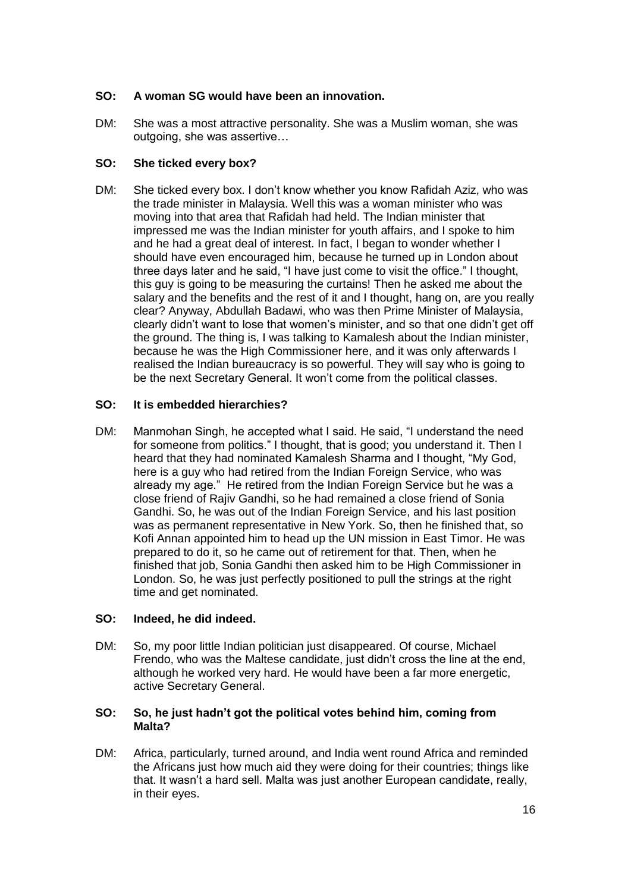# **SO: A woman SG would have been an innovation.**

DM: She was a most attractive personality. She was a Muslim woman, she was outgoing, she was assertive…

# **SO: She ticked every box?**

DM: She ticked every box. I don't know whether you know Rafidah Aziz, who was the trade minister in Malaysia. Well this was a woman minister who was moving into that area that Rafidah had held. The Indian minister that impressed me was the Indian minister for youth affairs, and I spoke to him and he had a great deal of interest. In fact, I began to wonder whether I should have even encouraged him, because he turned up in London about three days later and he said, "I have just come to visit the office." I thought, this guy is going to be measuring the curtains! Then he asked me about the salary and the benefits and the rest of it and I thought, hang on, are you really clear? Anyway, Abdullah Badawi, who was then Prime Minister of Malaysia, clearly didn't want to lose that women's minister, and so that one didn't get off the ground. The thing is, I was talking to Kamalesh about the Indian minister, because he was the High Commissioner here, and it was only afterwards I realised the Indian bureaucracy is so powerful. They will say who is going to be the next Secretary General. It won't come from the political classes.

# **SO: It is embedded hierarchies?**

DM: Manmohan Singh, he accepted what I said. He said, "I understand the need for someone from politics." I thought, that is good; you understand it. Then I heard that they had nominated Kamalesh Sharma and I thought, "My God, here is a guy who had retired from the Indian Foreign Service, who was already my age." He retired from the Indian Foreign Service but he was a close friend of Rajiv Gandhi, so he had remained a close friend of Sonia Gandhi. So, he was out of the Indian Foreign Service, and his last position was as permanent representative in New York. So, then he finished that, so Kofi Annan appointed him to head up the UN mission in East Timor. He was prepared to do it, so he came out of retirement for that. Then, when he finished that job, Sonia Gandhi then asked him to be High Commissioner in London. So, he was just perfectly positioned to pull the strings at the right time and get nominated.

# **SO: Indeed, he did indeed.**

DM: So, my poor little Indian politician just disappeared. Of course, Michael Frendo, who was the Maltese candidate, just didn't cross the line at the end, although he worked very hard. He would have been a far more energetic, active Secretary General.

## **SO: So, he just hadn't got the political votes behind him, coming from Malta?**

DM: Africa, particularly, turned around, and India went round Africa and reminded the Africans just how much aid they were doing for their countries; things like that. It wasn't a hard sell. Malta was just another European candidate, really, in their eyes.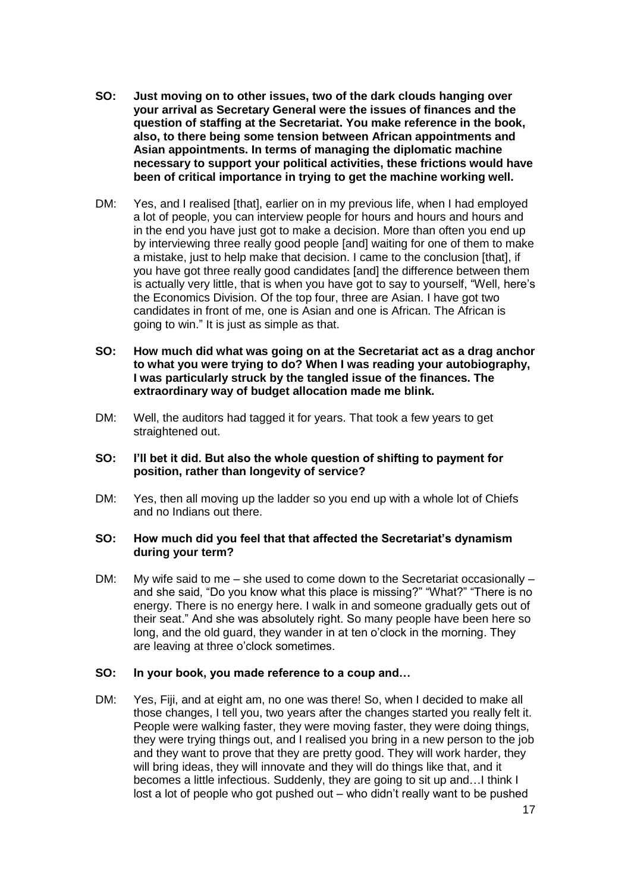- **SO: Just moving on to other issues, two of the dark clouds hanging over your arrival as Secretary General were the issues of finances and the question of staffing at the Secretariat. You make reference in the book, also, to there being some tension between African appointments and Asian appointments. In terms of managing the diplomatic machine necessary to support your political activities, these frictions would have been of critical importance in trying to get the machine working well.**
- DM: Yes, and I realised [that], earlier on in my previous life, when I had employed a lot of people, you can interview people for hours and hours and hours and in the end you have just got to make a decision. More than often you end up by interviewing three really good people [and] waiting for one of them to make a mistake, just to help make that decision. I came to the conclusion [that], if you have got three really good candidates [and] the difference between them is actually very little, that is when you have got to say to yourself, "Well, here's the Economics Division. Of the top four, three are Asian. I have got two candidates in front of me, one is Asian and one is African. The African is going to win." It is just as simple as that.
- **SO: How much did what was going on at the Secretariat act as a drag anchor to what you were trying to do? When I was reading your autobiography, I was particularly struck by the tangled issue of the finances. The extraordinary way of budget allocation made me blink.**
- DM: Well, the auditors had tagged it for years. That took a few years to get straightened out.

## **SO: I'll bet it did. But also the whole question of shifting to payment for position, rather than longevity of service?**

DM: Yes, then all moving up the ladder so you end up with a whole lot of Chiefs and no Indians out there.

## **SO: How much did you feel that that affected the Secretariat's dynamism during your term?**

DM: My wife said to me – she used to come down to the Secretariat occasionally – and she said, "Do you know what this place is missing?" "What?" "There is no energy. There is no energy here. I walk in and someone gradually gets out of their seat." And she was absolutely right. So many people have been here so long, and the old guard, they wander in at ten o'clock in the morning. They are leaving at three o'clock sometimes.

# **SO: In your book, you made reference to a coup and…**

DM: Yes, Fiji, and at eight am, no one was there! So, when I decided to make all those changes, I tell you, two years after the changes started you really felt it. People were walking faster, they were moving faster, they were doing things, they were trying things out, and I realised you bring in a new person to the job and they want to prove that they are pretty good. They will work harder, they will bring ideas, they will innovate and they will do things like that, and it becomes a little infectious. Suddenly, they are going to sit up and…I think I lost a lot of people who got pushed out – who didn't really want to be pushed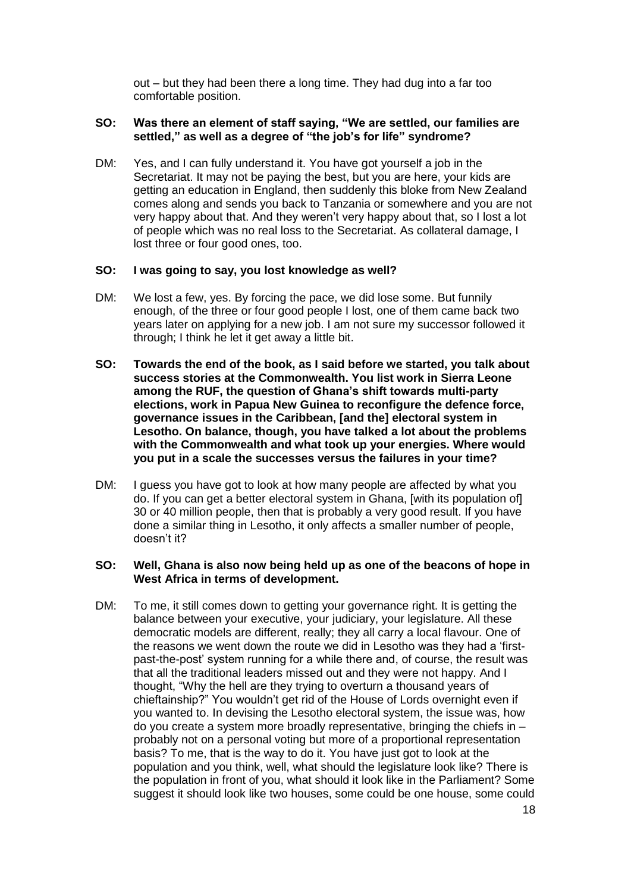out – but they had been there a long time. They had dug into a far too comfortable position.

## **SO: Was there an element of staff saying, "We are settled, our families are settled," as well as a degree of "the job's for life" syndrome?**

DM: Yes, and I can fully understand it. You have got yourself a job in the Secretariat. It may not be paying the best, but you are here, your kids are getting an education in England, then suddenly this bloke from New Zealand comes along and sends you back to Tanzania or somewhere and you are not very happy about that. And they weren't very happy about that, so I lost a lot of people which was no real loss to the Secretariat. As collateral damage, I lost three or four good ones, too.

#### **SO: I was going to say, you lost knowledge as well?**

- DM: We lost a few, yes. By forcing the pace, we did lose some. But funnily enough, of the three or four good people I lost, one of them came back two years later on applying for a new job. I am not sure my successor followed it through; I think he let it get away a little bit.
- **SO: Towards the end of the book, as I said before we started, you talk about success stories at the Commonwealth. You list work in Sierra Leone among the RUF, the question of Ghana's shift towards multi-party elections, work in Papua New Guinea to reconfigure the defence force, governance issues in the Caribbean, [and the] electoral system in Lesotho. On balance, though, you have talked a lot about the problems with the Commonwealth and what took up your energies. Where would you put in a scale the successes versus the failures in your time?**
- DM: I guess you have got to look at how many people are affected by what you do. If you can get a better electoral system in Ghana, [with its population of] 30 or 40 million people, then that is probably a very good result. If you have done a similar thing in Lesotho, it only affects a smaller number of people, doesn't it?

#### **SO: Well, Ghana is also now being held up as one of the beacons of hope in West Africa in terms of development.**

DM: To me, it still comes down to getting your governance right. It is getting the balance between your executive, your judiciary, your legislature. All these democratic models are different, really; they all carry a local flavour. One of the reasons we went down the route we did in Lesotho was they had a 'firstpast-the-post' system running for a while there and, of course, the result was that all the traditional leaders missed out and they were not happy. And I thought, "Why the hell are they trying to overturn a thousand years of chieftainship?" You wouldn't get rid of the House of Lords overnight even if you wanted to. In devising the Lesotho electoral system, the issue was, how do you create a system more broadly representative, bringing the chiefs in – probably not on a personal voting but more of a proportional representation basis? To me, that is the way to do it. You have just got to look at the population and you think, well, what should the legislature look like? There is the population in front of you, what should it look like in the Parliament? Some suggest it should look like two houses, some could be one house, some could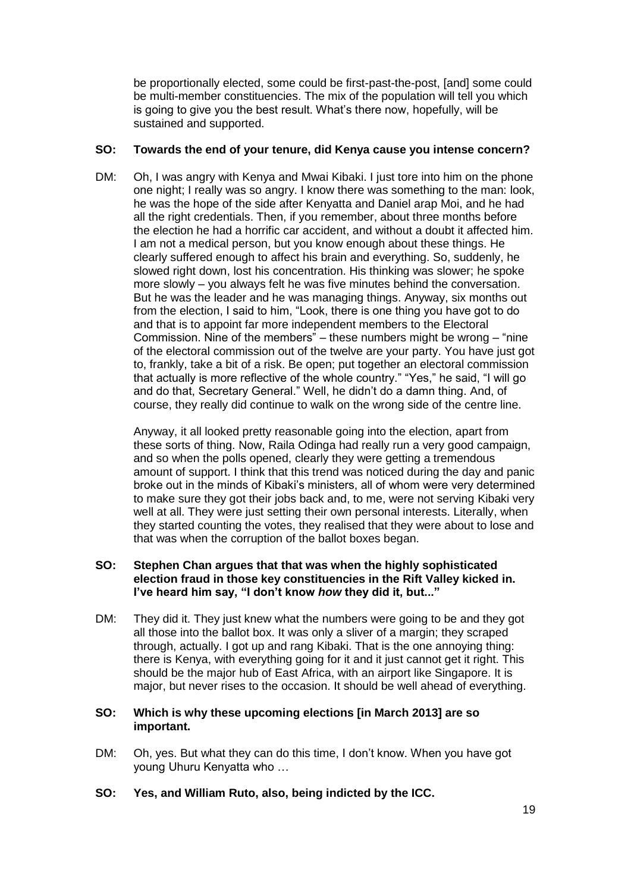be proportionally elected, some could be first-past-the-post, [and] some could be multi-member constituencies. The mix of the population will tell you which is going to give you the best result. What's there now, hopefully, will be sustained and supported.

## **SO: Towards the end of your tenure, did Kenya cause you intense concern?**

DM: Oh, I was angry with Kenya and Mwai Kibaki. I just tore into him on the phone one night; I really was so angry. I know there was something to the man: look, he was the hope of the side after Kenyatta and Daniel arap Moi, and he had all the right credentials. Then, if you remember, about three months before the election he had a horrific car accident, and without a doubt it affected him. I am not a medical person, but you know enough about these things. He clearly suffered enough to affect his brain and everything. So, suddenly, he slowed right down, lost his concentration. His thinking was slower; he spoke more slowly – you always felt he was five minutes behind the conversation. But he was the leader and he was managing things. Anyway, six months out from the election, I said to him, "Look, there is one thing you have got to do and that is to appoint far more independent members to the Electoral Commission. Nine of the members" – these numbers might be wrong – "nine of the electoral commission out of the twelve are your party. You have just got to, frankly, take a bit of a risk. Be open; put together an electoral commission that actually is more reflective of the whole country." "Yes," he said, "I will go and do that, Secretary General." Well, he didn't do a damn thing. And, of course, they really did continue to walk on the wrong side of the centre line.

Anyway, it all looked pretty reasonable going into the election, apart from these sorts of thing. Now, Raila Odinga had really run a very good campaign, and so when the polls opened, clearly they were getting a tremendous amount of support. I think that this trend was noticed during the day and panic broke out in the minds of Kibaki's ministers, all of whom were very determined to make sure they got their jobs back and, to me, were not serving Kibaki very well at all. They were just setting their own personal interests. Literally, when they started counting the votes, they realised that they were about to lose and that was when the corruption of the ballot boxes began.

# **SO: Stephen Chan argues that that was when the highly sophisticated election fraud in those key constituencies in the Rift Valley kicked in. I've heard him say, "I don't know** *how* **they did it, but..."**

DM: They did it. They just knew what the numbers were going to be and they got all those into the ballot box. It was only a sliver of a margin; they scraped through, actually. I got up and rang Kibaki. That is the one annoying thing: there is Kenya, with everything going for it and it just cannot get it right. This should be the major hub of East Africa, with an airport like Singapore. It is major, but never rises to the occasion. It should be well ahead of everything.

## **SO: Which is why these upcoming elections [in March 2013] are so important.**

- DM: Oh, yes. But what they can do this time, I don't know. When you have got young Uhuru Kenyatta who …
- **SO: Yes, and William Ruto, also, being indicted by the ICC.**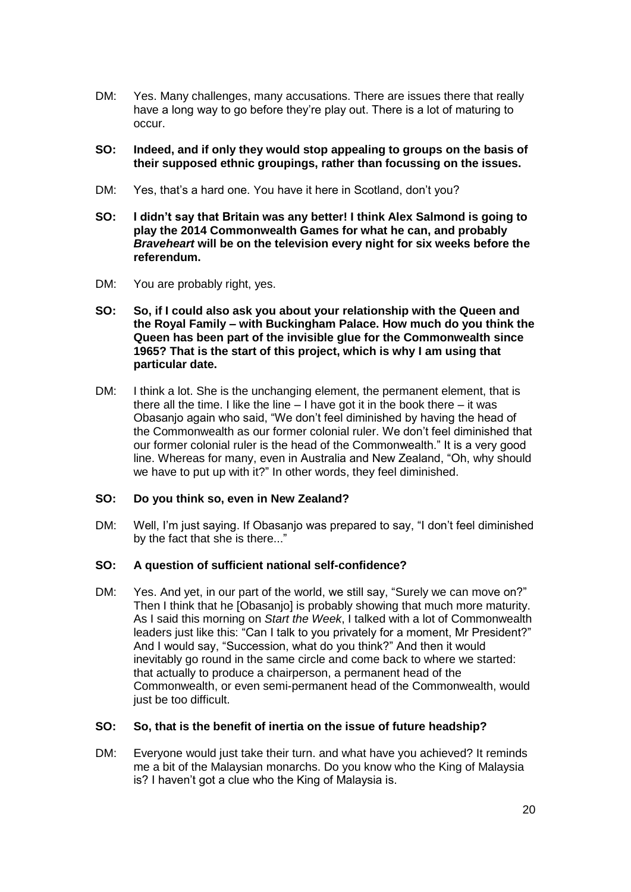- DM: Yes. Many challenges, many accusations. There are issues there that really have a long way to go before they're play out. There is a lot of maturing to occur.
- **SO: Indeed, and if only they would stop appealing to groups on the basis of their supposed ethnic groupings, rather than focussing on the issues.**
- DM: Yes, that's a hard one. You have it here in Scotland, don't you?
- **SO: I didn't say that Britain was any better! I think Alex Salmond is going to play the 2014 Commonwealth Games for what he can, and probably**  *Braveheart* **will be on the television every night for six weeks before the referendum.**
- DM: You are probably right, yes.
- **SO: So, if I could also ask you about your relationship with the Queen and the Royal Family – with Buckingham Palace. How much do you think the Queen has been part of the invisible glue for the Commonwealth since 1965? That is the start of this project, which is why I am using that particular date.**
- DM: I think a lot. She is the unchanging element, the permanent element, that is there all the time. I like the line  $-1$  have got it in the book there  $-$  it was Obasanjo again who said, "We don't feel diminished by having the head of the Commonwealth as our former colonial ruler. We don't feel diminished that our former colonial ruler is the head of the Commonwealth." It is a very good line. Whereas for many, even in Australia and New Zealand, "Oh, why should we have to put up with it?" In other words, they feel diminished.

# **SO: Do you think so, even in New Zealand?**

DM: Well, I'm just saying. If Obasanjo was prepared to say, "I don't feel diminished by the fact that she is there..."

# **SO: A question of sufficient national self-confidence?**

DM: Yes. And yet, in our part of the world, we still say, "Surely we can move on?" Then I think that he [Obasanjo] is probably showing that much more maturity. As I said this morning on *Start the Week*, I talked with a lot of Commonwealth leaders just like this: "Can I talk to you privately for a moment, Mr President?" And I would say, "Succession, what do you think?" And then it would inevitably go round in the same circle and come back to where we started: that actually to produce a chairperson, a permanent head of the Commonwealth, or even semi-permanent head of the Commonwealth, would just be too difficult.

#### **SO: So, that is the benefit of inertia on the issue of future headship?**

DM: Everyone would just take their turn. and what have you achieved? It reminds me a bit of the Malaysian monarchs. Do you know who the King of Malaysia is? I haven't got a clue who the King of Malaysia is.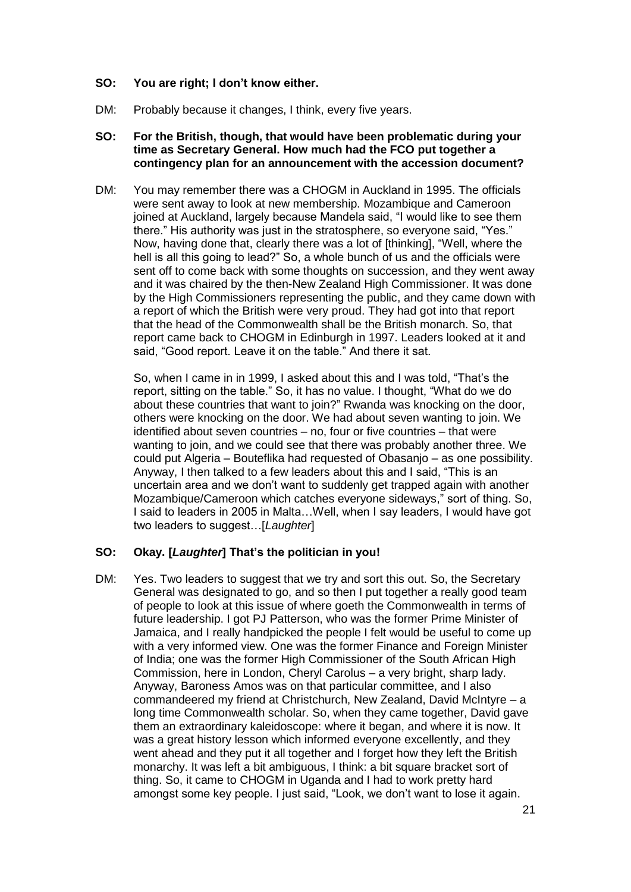### **SO: You are right; I don't know either.**

DM: Probably because it changes, I think, every five years.

#### **SO: For the British, though, that would have been problematic during your time as Secretary General. How much had the FCO put together a contingency plan for an announcement with the accession document?**

DM: You may remember there was a CHOGM in Auckland in 1995. The officials were sent away to look at new membership. Mozambique and Cameroon joined at Auckland, largely because Mandela said, "I would like to see them there." His authority was just in the stratosphere, so everyone said, "Yes." Now, having done that, clearly there was a lot of [thinking], "Well, where the hell is all this going to lead?" So, a whole bunch of us and the officials were sent off to come back with some thoughts on succession, and they went away and it was chaired by the then-New Zealand High Commissioner. It was done by the High Commissioners representing the public, and they came down with a report of which the British were very proud. They had got into that report that the head of the Commonwealth shall be the British monarch. So, that report came back to CHOGM in Edinburgh in 1997. Leaders looked at it and said, "Good report. Leave it on the table." And there it sat.

So, when I came in in 1999, I asked about this and I was told, "That's the report, sitting on the table." So, it has no value. I thought, "What do we do about these countries that want to join?" Rwanda was knocking on the door, others were knocking on the door. We had about seven wanting to join. We identified about seven countries – no, four or five countries – that were wanting to join, and we could see that there was probably another three. We could put Algeria – Bouteflika had requested of Obasanjo – as one possibility. Anyway, I then talked to a few leaders about this and I said, "This is an uncertain area and we don't want to suddenly get trapped again with another Mozambique/Cameroon which catches everyone sideways," sort of thing. So, I said to leaders in 2005 in Malta…Well, when I say leaders, I would have got two leaders to suggest…[*Laughter*]

# **SO: Okay. [***Laughter***] That's the politician in you!**

DM: Yes. Two leaders to suggest that we try and sort this out. So, the Secretary General was designated to go, and so then I put together a really good team of people to look at this issue of where goeth the Commonwealth in terms of future leadership. I got PJ Patterson, who was the former Prime Minister of Jamaica, and I really handpicked the people I felt would be useful to come up with a very informed view. One was the former Finance and Foreign Minister of India; one was the former High Commissioner of the South African High Commission, here in London, Cheryl Carolus – a very bright, sharp lady. Anyway, Baroness Amos was on that particular committee, and I also commandeered my friend at Christchurch, New Zealand, David McIntyre – a long time Commonwealth scholar. So, when they came together, David gave them an extraordinary kaleidoscope: where it began, and where it is now. It was a great history lesson which informed everyone excellently, and they went ahead and they put it all together and I forget how they left the British monarchy. It was left a bit ambiguous, I think: a bit square bracket sort of thing. So, it came to CHOGM in Uganda and I had to work pretty hard amongst some key people. I just said, "Look, we don't want to lose it again.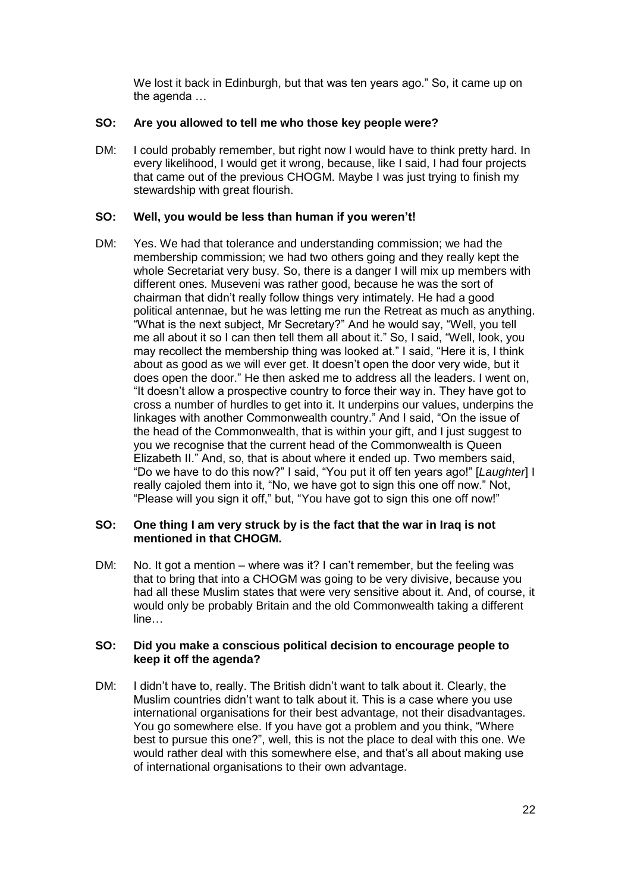We lost it back in Edinburgh, but that was ten years ago." So, it came up on the agenda …

# **SO: Are you allowed to tell me who those key people were?**

DM: I could probably remember, but right now I would have to think pretty hard. In every likelihood, I would get it wrong, because, like I said, I had four projects that came out of the previous CHOGM. Maybe I was just trying to finish my stewardship with great flourish.

# **SO: Well, you would be less than human if you weren't!**

DM: Yes. We had that tolerance and understanding commission; we had the membership commission; we had two others going and they really kept the whole Secretariat very busy. So, there is a danger I will mix up members with different ones. Museveni was rather good, because he was the sort of chairman that didn't really follow things very intimately. He had a good political antennae, but he was letting me run the Retreat as much as anything. "What is the next subject, Mr Secretary?" And he would say, "Well, you tell me all about it so I can then tell them all about it." So, I said, "Well, look, you may recollect the membership thing was looked at." I said, "Here it is, I think about as good as we will ever get. It doesn't open the door very wide, but it does open the door." He then asked me to address all the leaders. I went on, "It doesn't allow a prospective country to force their way in. They have got to cross a number of hurdles to get into it. It underpins our values, underpins the linkages with another Commonwealth country." And I said, "On the issue of the head of the Commonwealth, that is within your gift, and I just suggest to you we recognise that the current head of the Commonwealth is Queen Elizabeth II." And, so, that is about where it ended up. Two members said, "Do we have to do this now?" I said, "You put it off ten years ago!" [*Laughter*] I really cajoled them into it, "No, we have got to sign this one off now." Not, "Please will you sign it off," but, "You have got to sign this one off now!"

## **SO: One thing I am very struck by is the fact that the war in Iraq is not mentioned in that CHOGM.**

DM: No. It got a mention – where was it? I can't remember, but the feeling was that to bring that into a CHOGM was going to be very divisive, because you had all these Muslim states that were very sensitive about it. And, of course, it would only be probably Britain and the old Commonwealth taking a different line…

# **SO: Did you make a conscious political decision to encourage people to keep it off the agenda?**

DM: I didn't have to, really. The British didn't want to talk about it. Clearly, the Muslim countries didn't want to talk about it. This is a case where you use international organisations for their best advantage, not their disadvantages. You go somewhere else. If you have got a problem and you think, "Where best to pursue this one?", well, this is not the place to deal with this one. We would rather deal with this somewhere else, and that's all about making use of international organisations to their own advantage.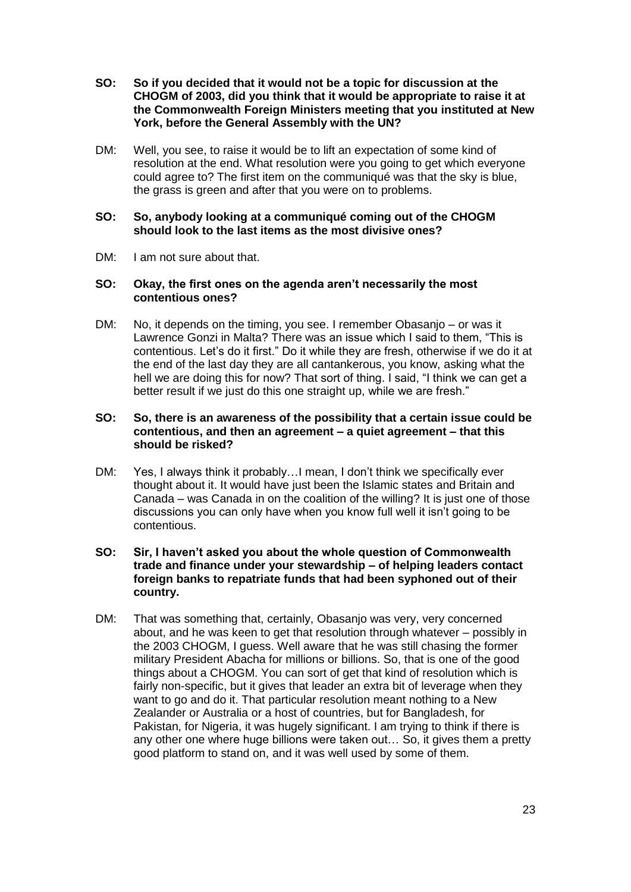- **SO: So if you decided that it would not be a topic for discussion at the CHOGM of 2003, did you think that it would be appropriate to raise it at the Commonwealth Foreign Ministers meeting that you instituted at New York, before the General Assembly with the UN?**
- DM: Well, you see, to raise it would be to lift an expectation of some kind of resolution at the end. What resolution were you going to get which everyone could agree to? The first item on the communiqué was that the sky is blue, the grass is green and after that you were on to problems.

## **SO: So, anybody looking at a communiqué coming out of the CHOGM should look to the last items as the most divisive ones?**

DM: I am not sure about that.

## **SO: Okay, the first ones on the agenda aren't necessarily the most contentious ones?**

DM: No, it depends on the timing, you see. I remember Obasanjo – or was it Lawrence Gonzi in Malta? There was an issue which I said to them, "This is contentious. Let's do it first." Do it while they are fresh, otherwise if we do it at the end of the last day they are all cantankerous, you know, asking what the hell we are doing this for now? That sort of thing. I said, "I think we can get a better result if we just do this one straight up, while we are fresh."

## **SO: So, there is an awareness of the possibility that a certain issue could be contentious, and then an agreement – a quiet agreement – that this should be risked?**

DM: Yes, I always think it probably…I mean, I don't think we specifically ever thought about it. It would have just been the Islamic states and Britain and Canada – was Canada in on the coalition of the willing? It is just one of those discussions you can only have when you know full well it isn't going to be contentious.

## **SO: Sir, I haven't asked you about the whole question of Commonwealth trade and finance under your stewardship – of helping leaders contact foreign banks to repatriate funds that had been syphoned out of their country.**

DM: That was something that, certainly, Obasanjo was very, very concerned about, and he was keen to get that resolution through whatever – possibly in the 2003 CHOGM, I guess. Well aware that he was still chasing the former military President Abacha for millions or billions. So, that is one of the good things about a CHOGM. You can sort of get that kind of resolution which is fairly non-specific, but it gives that leader an extra bit of leverage when they want to go and do it. That particular resolution meant nothing to a New Zealander or Australia or a host of countries, but for Bangladesh, for Pakistan, for Nigeria, it was hugely significant. I am trying to think if there is any other one where huge billions were taken out… So, it gives them a pretty good platform to stand on, and it was well used by some of them.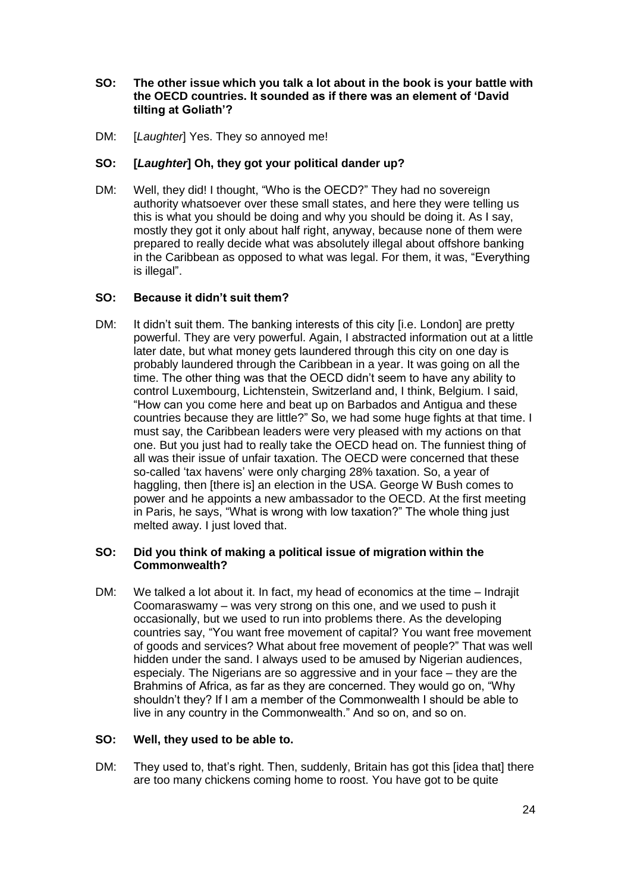# **SO: The other issue which you talk a lot about in the book is your battle with the OECD countries. It sounded as if there was an element of 'David tilting at Goliath'?**

DM: [*Laughter*] Yes. They so annoyed me!

# **SO: [***Laughter***] Oh, they got your political dander up?**

DM: Well, they did! I thought, "Who is the OECD?" They had no sovereign authority whatsoever over these small states, and here they were telling us this is what you should be doing and why you should be doing it. As I say, mostly they got it only about half right, anyway, because none of them were prepared to really decide what was absolutely illegal about offshore banking in the Caribbean as opposed to what was legal. For them, it was, "Everything is illegal".

# **SO: Because it didn't suit them?**

DM: It didn't suit them. The banking interests of this city *li.e.* London are pretty powerful. They are very powerful. Again, I abstracted information out at a little later date, but what money gets laundered through this city on one day is probably laundered through the Caribbean in a year. It was going on all the time. The other thing was that the OECD didn't seem to have any ability to control Luxembourg, Lichtenstein, Switzerland and, I think, Belgium. I said, "How can you come here and beat up on Barbados and Antigua and these countries because they are little?" So, we had some huge fights at that time. I must say, the Caribbean leaders were very pleased with my actions on that one. But you just had to really take the OECD head on. The funniest thing of all was their issue of unfair taxation. The OECD were concerned that these so-called 'tax havens' were only charging 28% taxation. So, a year of haggling, then [there is] an election in the USA. George W Bush comes to power and he appoints a new ambassador to the OECD. At the first meeting in Paris, he says, "What is wrong with low taxation?" The whole thing just melted away. I just loved that.

# **SO: Did you think of making a political issue of migration within the Commonwealth?**

DM: We talked a lot about it. In fact, my head of economics at the time – Indrajit Coomaraswamy – was very strong on this one, and we used to push it occasionally, but we used to run into problems there. As the developing countries say, "You want free movement of capital? You want free movement of goods and services? What about free movement of people?" That was well hidden under the sand. I always used to be amused by Nigerian audiences, especialy. The Nigerians are so aggressive and in your face – they are the Brahmins of Africa, as far as they are concerned. They would go on, "Why shouldn't they? If I am a member of the Commonwealth I should be able to live in any country in the Commonwealth." And so on, and so on.

# **SO: Well, they used to be able to.**

DM: They used to, that's right. Then, suddenly, Britain has got this lidea that there are too many chickens coming home to roost. You have got to be quite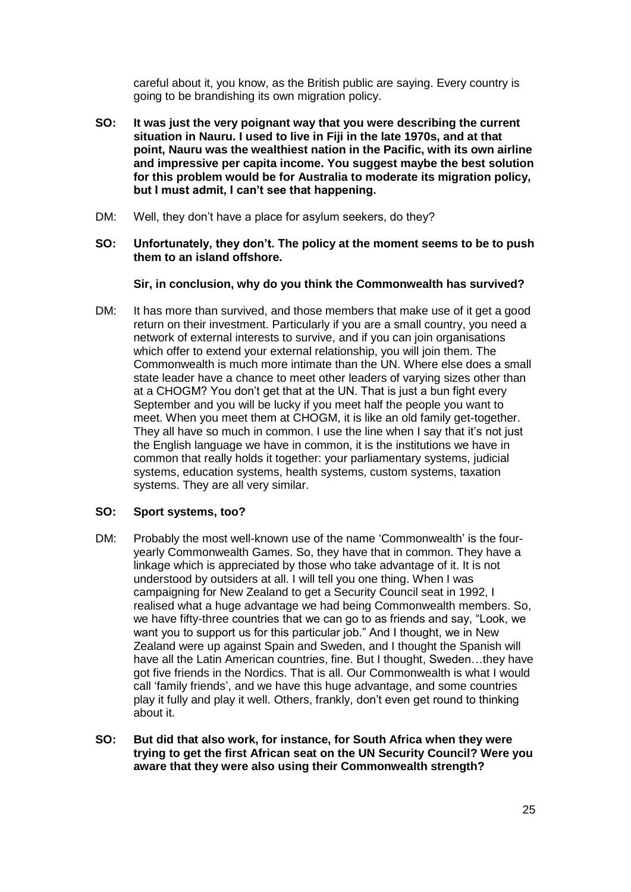careful about it, you know, as the British public are saying. Every country is going to be brandishing its own migration policy.

- **SO: It was just the very poignant way that you were describing the current situation in Nauru. I used to live in Fiji in the late 1970s, and at that point, Nauru was the wealthiest nation in the Pacific, with its own airline and impressive per capita income. You suggest maybe the best solution for this problem would be for Australia to moderate its migration policy, but I must admit, I can't see that happening.**
- DM: Well, they don't have a place for asylum seekers, do they?
- **SO: Unfortunately, they don't. The policy at the moment seems to be to push them to an island offshore.**

## **Sir, in conclusion, why do you think the Commonwealth has survived?**

DM: It has more than survived, and those members that make use of it get a good return on their investment. Particularly if you are a small country, you need a network of external interests to survive, and if you can join organisations which offer to extend your external relationship, you will join them. The Commonwealth is much more intimate than the UN. Where else does a small state leader have a chance to meet other leaders of varying sizes other than at a CHOGM? You don't get that at the UN. That is just a bun fight every September and you will be lucky if you meet half the people you want to meet. When you meet them at CHOGM, it is like an old family get-together. They all have so much in common. I use the line when I say that it's not just the English language we have in common, it is the institutions we have in common that really holds it together: your parliamentary systems, judicial systems, education systems, health systems, custom systems, taxation systems. They are all very similar.

# **SO: Sport systems, too?**

- DM: Probably the most well-known use of the name 'Commonwealth' is the fouryearly Commonwealth Games. So, they have that in common. They have a linkage which is appreciated by those who take advantage of it. It is not understood by outsiders at all. I will tell you one thing. When I was campaigning for New Zealand to get a Security Council seat in 1992, I realised what a huge advantage we had being Commonwealth members. So, we have fifty-three countries that we can go to as friends and say, "Look, we want you to support us for this particular job." And I thought, we in New Zealand were up against Spain and Sweden, and I thought the Spanish will have all the Latin American countries, fine. But I thought, Sweden…they have got five friends in the Nordics. That is all. Our Commonwealth is what I would call 'family friends', and we have this huge advantage, and some countries play it fully and play it well. Others, frankly, don't even get round to thinking about it.
- **SO: But did that also work, for instance, for South Africa when they were trying to get the first African seat on the UN Security Council? Were you aware that they were also using their Commonwealth strength?**